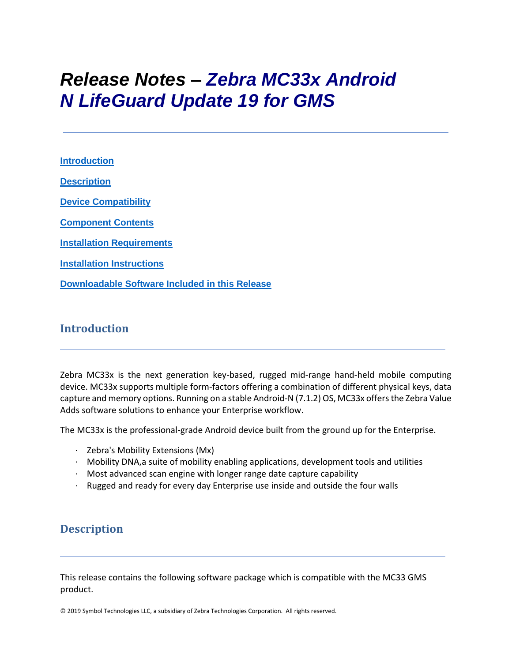# *Release Notes – Zebra MC33x Android N LifeGuard Update 19 for GMS*

**[Introduction](#page-0-0) [Description](#page-0-1) [Device Compatibility](#page-17-0) [Component Contents](#page-1-0) [Installation Requirements](#page-19-0) [Installation Instructions](#page-19-1) [Downloadable Software Included in this Release](#page-22-0)**

## <span id="page-0-0"></span>**Introduction**

Zebra MC33x is the next generation key-based, rugged mid-range hand-held mobile computing device. MC33x supports multiple form-factors offering a combination of different physical keys, data capture and memory options. Running on a stable Android-N (7.1.2) OS, MC33x offers the Zebra Value Adds software solutions to enhance your Enterprise workflow.

The MC33x is the professional-grade Android device built from the ground up for the Enterprise.

- · Zebra's Mobility Extensions (Mx)
- · Mobility DNA,a suite of mobility enabling applications, development tools and utilities
- $\cdot$  Most advanced scan engine with longer range date capture capability
- · Rugged and ready for every day Enterprise use inside and outside the four walls

## <span id="page-0-1"></span>**Description**

This release contains the following software package which is compatible with the MC33 GMS product.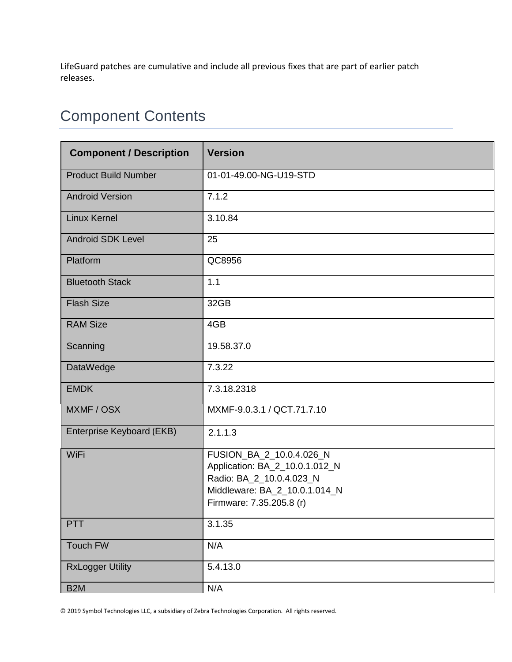LifeGuard patches are cumulative and include all previous fixes that are part of earlier patch releases.

## <span id="page-1-0"></span>Component Contents

| <b>Component / Description</b> | <b>Version</b>                                                                                                                                      |  |
|--------------------------------|-----------------------------------------------------------------------------------------------------------------------------------------------------|--|
| <b>Product Build Number</b>    | 01-01-49.00-NG-U19-STD                                                                                                                              |  |
| <b>Android Version</b>         | 7.1.2                                                                                                                                               |  |
| <b>Linux Kernel</b>            | 3.10.84                                                                                                                                             |  |
| <b>Android SDK Level</b>       | 25                                                                                                                                                  |  |
| Platform                       | QC8956                                                                                                                                              |  |
| <b>Bluetooth Stack</b>         | 1.1                                                                                                                                                 |  |
| <b>Flash Size</b>              | 32GB                                                                                                                                                |  |
| <b>RAM Size</b>                | 4GB                                                                                                                                                 |  |
| Scanning                       | 19.58.37.0                                                                                                                                          |  |
| <b>DataWedge</b>               | 7.3.22                                                                                                                                              |  |
| <b>EMDK</b>                    | 7.3.18.2318                                                                                                                                         |  |
| MXMF / OSX                     | MXMF-9.0.3.1 / QCT.71.7.10                                                                                                                          |  |
| Enterprise Keyboard (EKB)      | 2.1.1.3                                                                                                                                             |  |
| WiFi                           | FUSION_BA_2_10.0.4.026_N<br>Application: BA_2_10.0.1.012_N<br>Radio: BA_2_10.0.4.023_N<br>Middleware: BA_2_10.0.1.014_N<br>Firmware: 7.35.205.8 (r) |  |
| <b>PTT</b>                     | 3.1.35                                                                                                                                              |  |
| Touch FW                       | N/A                                                                                                                                                 |  |
| <b>RxLogger Utility</b>        | 5.4.13.0                                                                                                                                            |  |
| B <sub>2</sub> M               | N/A                                                                                                                                                 |  |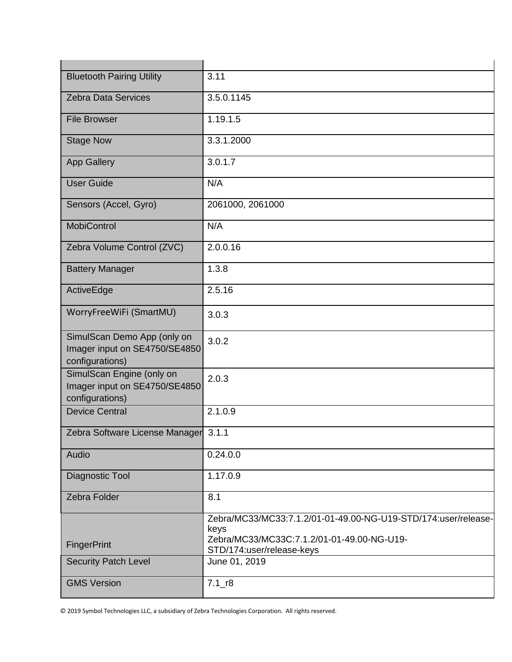| <b>Bluetooth Pairing Utility</b>                                                | 3.11                                                                                                                                              |
|---------------------------------------------------------------------------------|---------------------------------------------------------------------------------------------------------------------------------------------------|
| <b>Zebra Data Services</b>                                                      | 3.5.0.1145                                                                                                                                        |
| <b>File Browser</b>                                                             | 1.19.1.5                                                                                                                                          |
| <b>Stage Now</b>                                                                | 3.3.1.2000                                                                                                                                        |
| <b>App Gallery</b>                                                              | 3.0.1.7                                                                                                                                           |
| <b>User Guide</b>                                                               | N/A                                                                                                                                               |
| Sensors (Accel, Gyro)                                                           | 2061000, 2061000                                                                                                                                  |
| <b>MobiControl</b>                                                              | N/A                                                                                                                                               |
| Zebra Volume Control (ZVC)                                                      | 2.0.0.16                                                                                                                                          |
| <b>Battery Manager</b>                                                          | 1.3.8                                                                                                                                             |
| ActiveEdge                                                                      | 2.5.16                                                                                                                                            |
| WorryFreeWiFi (SmartMU)                                                         | 3.0.3                                                                                                                                             |
| SimulScan Demo App (only on<br>Imager input on SE4750/SE4850<br>configurations) | 3.0.2                                                                                                                                             |
| SimulScan Engine (only on<br>Imager input on SE4750/SE4850<br>configurations)   | 2.0.3                                                                                                                                             |
| <b>Device Central</b>                                                           | 2.1.0.9                                                                                                                                           |
| Zebra Software License Manager 3.1.1                                            |                                                                                                                                                   |
| Audio                                                                           | 0.24.0.0                                                                                                                                          |
| Diagnostic Tool                                                                 | 1.17.0.9                                                                                                                                          |
| Zebra Folder                                                                    | 8.1                                                                                                                                               |
| <b>FingerPrint</b>                                                              | Zebra/MC33/MC33:7.1.2/01-01-49.00-NG-U19-STD/174:user/release-<br>keys<br>Zebra/MC33/MC33C:7.1.2/01-01-49.00-NG-U19-<br>STD/174:user/release-keys |
| <b>Security Patch Level</b>                                                     | June 01, 2019                                                                                                                                     |
| <b>GMS Version</b>                                                              | $7.1$ _r8                                                                                                                                         |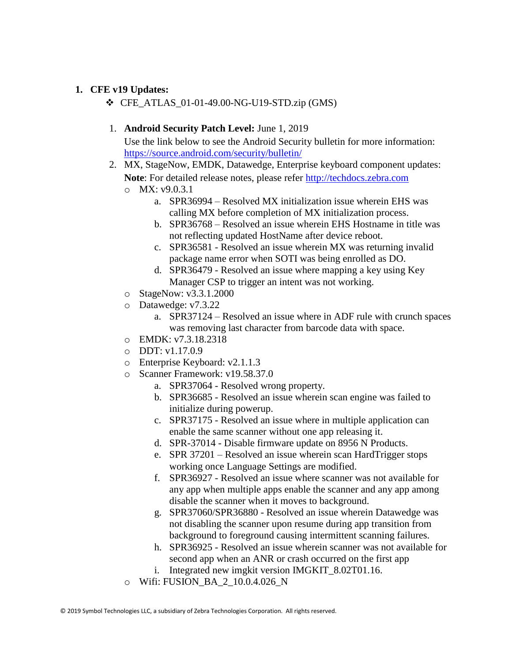#### **1. CFE v19 Updates:**

❖ CFE\_ATLAS\_01-01-49.00-NG-U19-STD.zip (GMS)

#### 1. **Android Security Patch Level:** June 1, 2019

- 2. MX, StageNow, EMDK, Datawedge, Enterprise keyboard component updates: **Note**: For detailed release notes, please refer [http://techdocs.zebra.com](http://techdocs.zebra.com/)
	- o MX: v9.0.3.1
		- a. SPR36994 Resolved MX initialization issue wherein EHS was calling MX before completion of MX initialization process.
		- b. SPR36768 Resolved an issue wherein EHS Hostname in title was not reflecting updated HostName after device reboot.
		- c. SPR36581 Resolved an issue wherein MX was returning invalid package name error when SOTI was being enrolled as DO.
		- d. SPR36479 Resolved an issue where mapping a key using Key Manager CSP to trigger an intent was not working.
	- o StageNow: v3.3.1.2000
	- o Datawedge: v7.3.22
		- a. SPR37124 Resolved an issue where in ADF rule with crunch spaces was removing last character from barcode data with space.
	- o EMDK: v7.3.18.2318
	- $O$  DDT: v1.17.0.9
	- o Enterprise Keyboard: v2.1.1.3
	- o Scanner Framework: v19.58.37.0
		- a. SPR37064 Resolved wrong property.
		- b. SPR36685 Resolved an issue wherein scan engine was failed to initialize during powerup.
		- c. SPR37175 Resolved an issue where in multiple application can enable the same scanner without one app releasing it.
		- d. SPR-37014 Disable firmware update on 8956 N Products.
		- e. SPR 37201 Resolved an issue wherein scan HardTrigger stops working once Language Settings are modified.
		- f. SPR36927 Resolved an issue where scanner was not available for any app when multiple apps enable the scanner and any app among disable the scanner when it moves to background.
		- g. SPR37060/SPR36880 Resolved an issue wherein Datawedge was not disabling the scanner upon resume during app transition from background to foreground causing intermittent scanning failures.
		- h. SPR36925 Resolved an issue wherein scanner was not available for second app when an ANR or crash occurred on the first app
		- i. Integrated new imgkit version IMGKIT\_8.02T01.16.
	- o Wifi: FUSION\_BA\_2\_10.0.4.026\_N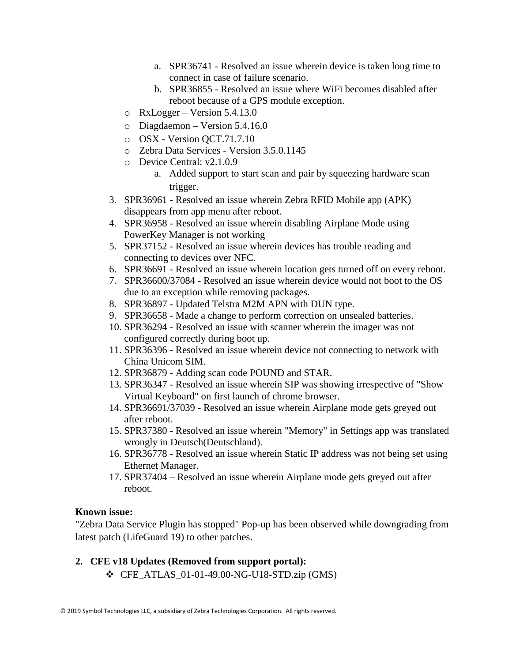- a. SPR36741 Resolved an issue wherein device is taken long time to connect in case of failure scenario.
- b. SPR36855 Resolved an issue where WiFi becomes disabled after reboot because of a GPS module exception.
- $\circ$  RxLogger Version 5.4.13.0
- o Diagdaemon Version 5.4.16.0
- o OSX Version QCT.71.7.10
- o Zebra Data Services Version 3.5.0.1145
- o Device Central: v2.1.0.9
	- a. Added support to start scan and pair by squeezing hardware scan trigger.
- 3. SPR36961 Resolved an issue wherein Zebra RFID Mobile app (APK) disappears from app menu after reboot.
- 4. SPR36958 Resolved an issue wherein disabling Airplane Mode using PowerKey Manager is not working
- 5. SPR37152 Resolved an issue wherein devices has trouble reading and connecting to devices over NFC.
- 6. SPR36691 Resolved an issue wherein location gets turned off on every reboot.
- 7. SPR36600/37084 Resolved an issue wherein device would not boot to the OS due to an exception while removing packages.
- 8. SPR36897 Updated Telstra M2M APN with DUN type.
- 9. SPR36658 Made a change to perform correction on unsealed batteries.
- 10. SPR36294 Resolved an issue with scanner wherein the imager was not configured correctly during boot up.
- 11. SPR36396 Resolved an issue wherein device not connecting to network with China Unicom SIM.
- 12. SPR36879 Adding scan code POUND and STAR.
- 13. SPR36347 Resolved an issue wherein SIP was showing irrespective of "Show Virtual Keyboard" on first launch of chrome browser.
- 14. SPR36691/37039 Resolved an issue wherein Airplane mode gets greyed out after reboot.
- 15. SPR37380 Resolved an issue wherein "Memory" in Settings app was translated wrongly in Deutsch(Deutschland).
- 16. SPR36778 Resolved an issue wherein Static IP address was not being set using Ethernet Manager.
- 17. SPR37404 Resolved an issue wherein Airplane mode gets greyed out after reboot.

#### **Known issue:**

"Zebra Data Service Plugin has stopped" Pop-up has been observed while downgrading from latest patch (LifeGuard 19) to other patches.

## **2. CFE v18 Updates (Removed from support portal):**

 $\div$  CFE ATLAS 01-01-49.00-NG-U18-STD.zip (GMS)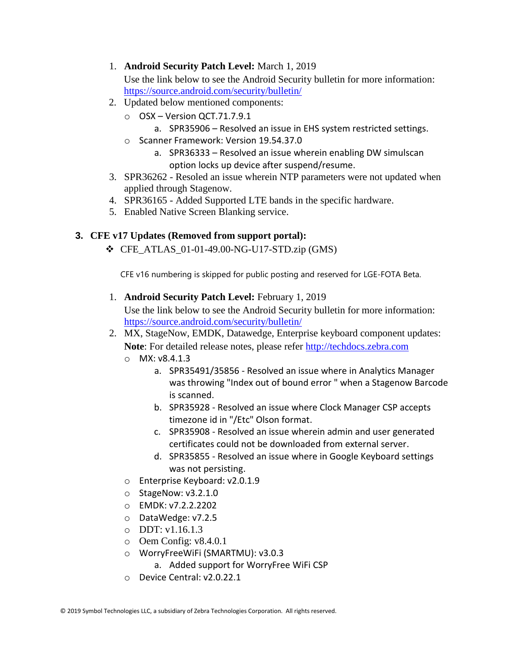1. **Android Security Patch Level:** March 1, 2019

Use the link below to see the Android Security bulletin for more information: <https://source.android.com/security/bulletin/>

- 2. Updated below mentioned components:
	- o OSX Version QCT.71.7.9.1
		- a. SPR35906 Resolved an issue in EHS system restricted settings.
	- o Scanner Framework: Version 19.54.37.0
		- a. SPR36333 Resolved an issue wherein enabling DW simulscan option locks up device after suspend/resume.
- 3. SPR36262 Resoled an issue wherein NTP parameters were not updated when applied through Stagenow.
- 4. SPR36165 Added Supported LTE bands in the specific hardware.
- 5. Enabled Native Screen Blanking service.

## **3. CFE v17 Updates (Removed from support portal):**

 $\div$  CFE ATLAS 01-01-49.00-NG-U17-STD.zip (GMS)

CFE v16 numbering is skipped for public posting and reserved for LGE-FOTA Beta.

1. **Android Security Patch Level:** February 1, 2019

- 2. MX, StageNow, EMDK, Datawedge, Enterprise keyboard component updates: **Note**: For detailed release notes, please refer [http://techdocs.zebra.com](http://techdocs.zebra.com/)
	- o MX: v8.4.1.3
		- a. SPR35491/35856 Resolved an issue where in Analytics Manager was throwing "Index out of bound error " when a Stagenow Barcode is scanned.
		- b. SPR35928 Resolved an issue where Clock Manager CSP accepts timezone id in "/Etc" Olson format.
		- c. SPR35908 Resolved an issue wherein admin and user generated certificates could not be downloaded from external server.
		- d. SPR35855 Resolved an issue where in Google Keyboard settings was not persisting.
	- o Enterprise Keyboard: v2.0.1.9
	- o StageNow: v3.2.1.0
	- o EMDK: v7.2.2.2202
	- o DataWedge: v7.2.5
	- $O$  DDT: v1.16.1.3
	- o Oem Config: v8.4.0.1
	- o WorryFreeWiFi (SMARTMU): v3.0.3
		- a. Added support for WorryFree WiFi CSP
	- o Device Central: v2.0.22.1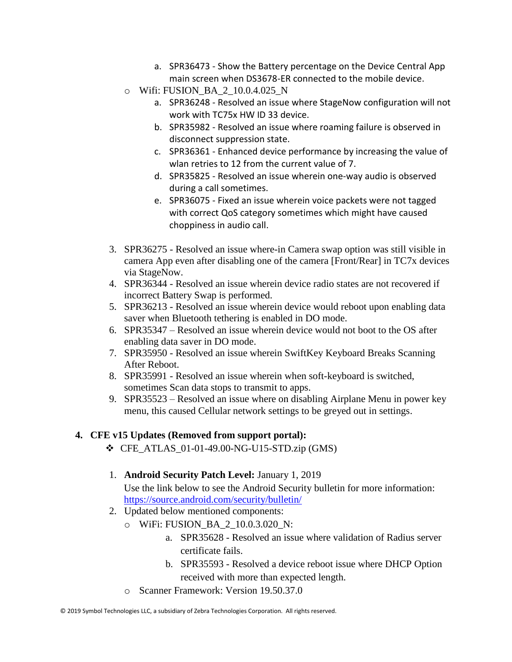- a. SPR36473 Show the Battery percentage on the Device Central App main screen when DS3678-ER connected to the mobile device.
- o Wifi: FUSION\_BA\_2\_10.0.4.025\_N
	- a. SPR36248 Resolved an issue where StageNow configuration will not work with TC75x HW ID 33 device.
	- b. SPR35982 Resolved an issue where roaming failure is observed in disconnect suppression state.
	- c. SPR36361 Enhanced device performance by increasing the value of wlan retries to 12 from the current value of 7.
	- d. SPR35825 Resolved an issue wherein one-way audio is observed during a call sometimes.
	- e. SPR36075 Fixed an issue wherein voice packets were not tagged with correct QoS category sometimes which might have caused choppiness in audio call.
- 3. SPR36275 Resolved an issue where-in Camera swap option was still visible in camera App even after disabling one of the camera [Front/Rear] in TC7x devices via StageNow.
- 4. SPR36344 Resolved an issue wherein device radio states are not recovered if incorrect Battery Swap is performed.
- 5. SPR36213 Resolved an issue wherein device would reboot upon enabling data saver when Bluetooth tethering is enabled in DO mode.
- 6. SPR35347 Resolved an issue wherein device would not boot to the OS after enabling data saver in DO mode.
- 7. SPR35950 Resolved an issue wherein SwiftKey Keyboard Breaks Scanning After Reboot.
- 8. SPR35991 Resolved an issue wherein when soft-keyboard is switched, sometimes Scan data stops to transmit to apps.
- 9. SPR35523 Resolved an issue where on disabling Airplane Menu in power key menu, this caused Cellular network settings to be greyed out in settings.

## **4. CFE v15 Updates (Removed from support portal):**

- $\div$  CFE ATLAS 01-01-49.00-NG-U15-STD.zip (GMS)
- 1. **Android Security Patch Level:** January 1, 2019 Use the link below to see the Android Security bulletin for more information: <https://source.android.com/security/bulletin/>
- 2. Updated below mentioned components:
	- o WiFi: FUSION\_BA\_2\_10.0.3.020\_N:
		- a. SPR35628 Resolved an issue where validation of Radius server certificate fails.
		- b. SPR35593 Resolved a device reboot issue where DHCP Option received with more than expected length.
	- o Scanner Framework: Version 19.50.37.0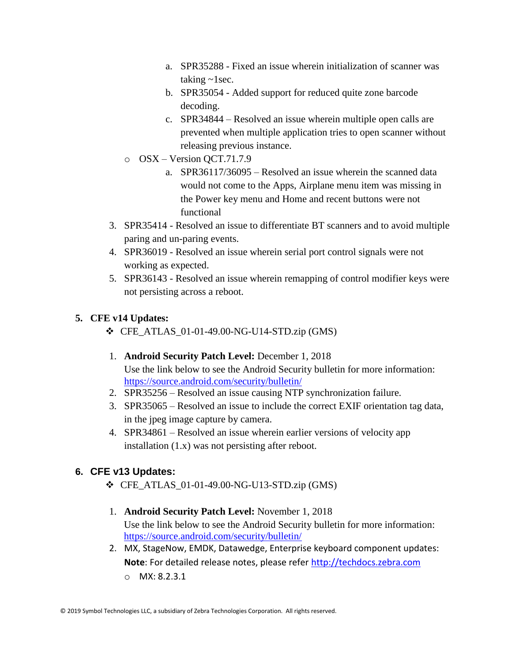- a. SPR35288 Fixed an issue wherein initialization of scanner was taking ~1sec.
- b. SPR35054 Added support for reduced quite zone barcode decoding.
- c. SPR34844 Resolved an issue wherein multiple open calls are prevented when multiple application tries to open scanner without releasing previous instance.
- o OSX Version QCT.71.7.9
	- a. SPR36117/36095 Resolved an issue wherein the scanned data would not come to the Apps, Airplane menu item was missing in the Power key menu and Home and recent buttons were not functional
- 3. SPR35414 Resolved an issue to differentiate BT scanners and to avoid multiple paring and un-paring events.
- 4. SPR36019 Resolved an issue wherein serial port control signals were not working as expected.
- 5. SPR36143 Resolved an issue wherein remapping of control modifier keys were not persisting across a reboot.

## **5. CFE v14 Updates:**

- ❖ CFE\_ATLAS\_01-01-49.00-NG-U14-STD.zip (GMS)
- 1. **Android Security Patch Level:** December 1, 2018 Use the link below to see the Android Security bulletin for more information: <https://source.android.com/security/bulletin/>
- 2. SPR35256 Resolved an issue causing NTP synchronization failure.
- 3. SPR35065 Resolved an issue to include the correct EXIF orientation tag data, in the jpeg image capture by camera.
- 4. SPR34861 Resolved an issue wherein earlier versions of velocity app installation (1.x) was not persisting after reboot.

## **6. CFE v13 Updates:**

- ❖ CFE\_ATLAS\_01-01-49.00-NG-U13-STD.zip (GMS)
- 1. **Android Security Patch Level:** November 1, 2018 Use the link below to see the Android Security bulletin for more information: <https://source.android.com/security/bulletin/>
- 2. MX, StageNow, EMDK, Datawedge, Enterprise keyboard component updates: **Note**: For detailed release notes, please refer [http://techdocs.zebra.com](http://techdocs.zebra.com/) o MX: 8.2.3.1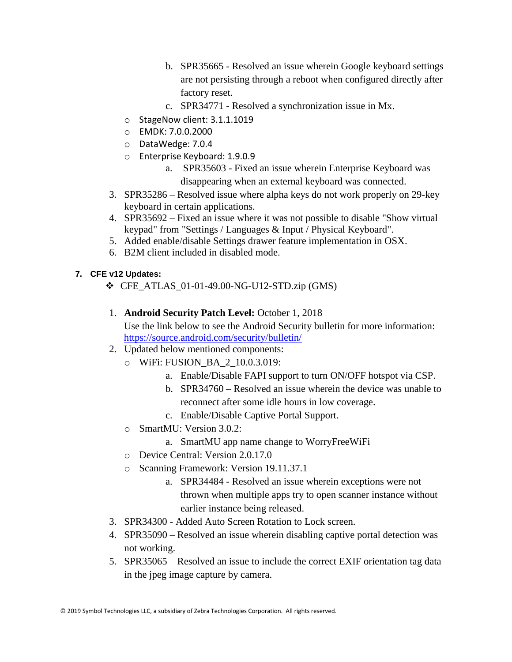- b. SPR35665 Resolved an issue wherein Google keyboard settings are not persisting through a reboot when configured directly after factory reset.
- c. SPR34771 Resolved a synchronization issue in Mx.
- o StageNow client: 3.1.1.1019
- o EMDK: 7.0.0.2000
- o DataWedge: 7.0.4
- o Enterprise Keyboard: 1.9.0.9
	- a. SPR35603 Fixed an issue wherein Enterprise Keyboard was disappearing when an external keyboard was connected.
- 3. SPR35286 Resolved issue where alpha keys do not work properly on 29-key keyboard in certain applications.
- 4. SPR35692 Fixed an issue where it was not possible to disable "Show virtual keypad" from "Settings / Languages & Input / Physical Keyboard".
- 5. Added enable/disable Settings drawer feature implementation in OSX.
- 6. B2M client included in disabled mode.

## **7. CFE v12 Updates:**

- ❖ CFE\_ATLAS\_01-01-49.00-NG-U12-STD.zip (GMS)
- 1. **Android Security Patch Level:** October 1, 2018

- 2. Updated below mentioned components:
	- o WiFi: FUSION\_BA\_2\_10.0.3.019:
		- a. Enable/Disable FAPI support to turn ON/OFF hotspot via CSP.
		- b. SPR34760 Resolved an issue wherein the device was unable to reconnect after some idle hours in low coverage.
		- c. Enable/Disable Captive Portal Support.
	- o SmartMU: Version 3.0.2:
		- a. SmartMU app name change to WorryFreeWiFi
	- o Device Central: Version 2.0.17.0
	- o Scanning Framework: Version 19.11.37.1
		- a. SPR34484 Resolved an issue wherein exceptions were not thrown when multiple apps try to open scanner instance without earlier instance being released.
- 3. SPR34300 Added Auto Screen Rotation to Lock screen.
- 4. SPR35090 Resolved an issue wherein disabling captive portal detection was not working.
- 5. SPR35065 Resolved an issue to include the correct EXIF orientation tag data in the jpeg image capture by camera.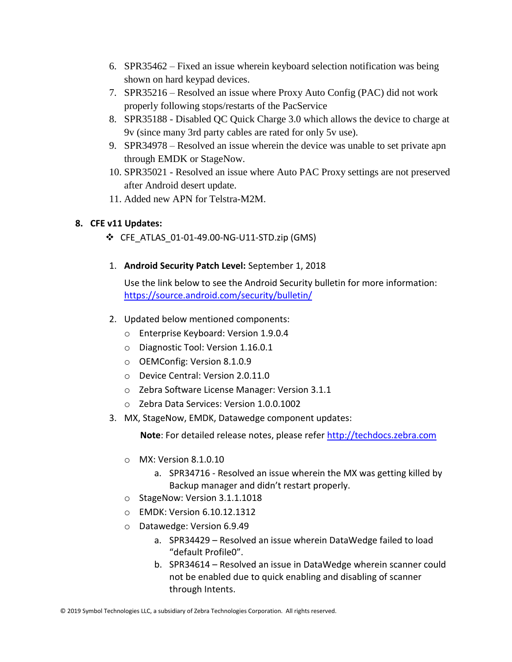- 6. SPR35462 Fixed an issue wherein keyboard selection notification was being shown on hard keypad devices.
- 7. SPR35216 Resolved an issue where Proxy Auto Config (PAC) did not work properly following stops/restarts of the PacService
- 8. SPR35188 Disabled QC Quick Charge 3.0 which allows the device to charge at 9v (since many 3rd party cables are rated for only 5v use).
- 9. SPR34978 Resolved an issue wherein the device was unable to set private apn through EMDK or StageNow.
- 10. SPR35021 Resolved an issue where Auto PAC Proxy settings are not preserved after Android desert update.
- 11. Added new APN for Telstra-M2M.

## **8. CFE v11 Updates:**

- ❖ CFE\_ATLAS\_01-01-49.00-NG-U11-STD.zip (GMS)
- 1. **Android Security Patch Level:** September 1, 2018

Use the link below to see the Android Security bulletin for more information: <https://source.android.com/security/bulletin/>

- 2. Updated below mentioned components:
	- o Enterprise Keyboard: Version 1.9.0.4
	- o Diagnostic Tool: Version 1.16.0.1
	- o OEMConfig: Version 8.1.0.9
	- o Device Central: Version 2.0.11.0
	- o Zebra Software License Manager: Version 3.1.1
	- o Zebra Data Services: Version 1.0.0.1002
- 3. MX, StageNow, EMDK, Datawedge component updates:

**Note**: For detailed release notes, please refer [http://techdocs.zebra.com](http://techdocs.zebra.com/)

- o MX: Version 8.1.0.10
	- a. SPR34716 Resolved an issue wherein the MX was getting killed by Backup manager and didn't restart properly.
- o StageNow: Version 3.1.1.1018
- o EMDK: Version 6.10.12.1312
- o Datawedge: Version 6.9.49
	- a. SPR34429 Resolved an issue wherein DataWedge failed to load "default Profile0".
	- b. SPR34614 Resolved an issue in DataWedge wherein scanner could not be enabled due to quick enabling and disabling of scanner through Intents.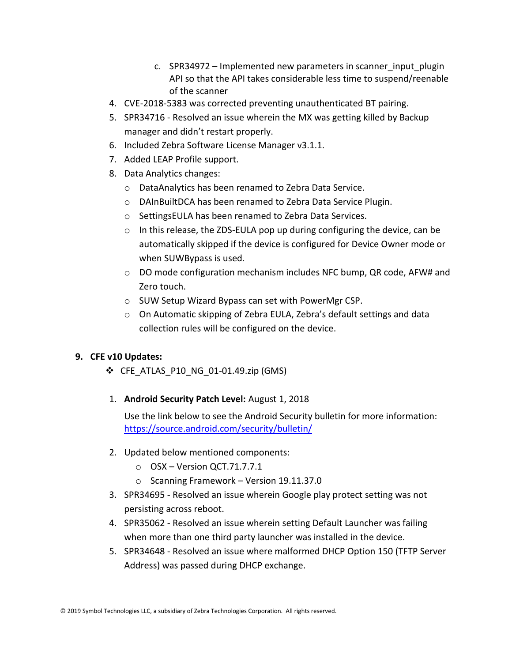- c. SPR34972 Implemented new parameters in scanner input plugin API so that the API takes considerable less time to suspend/reenable of the scanner
- 4. CVE-2018-5383 was corrected preventing unauthenticated BT pairing.
- 5. SPR34716 Resolved an issue wherein the MX was getting killed by Backup manager and didn't restart properly.
- 6. Included Zebra Software License Manager v3.1.1.
- 7. Added LEAP Profile support.
- 8. Data Analytics changes:
	- o DataAnalytics has been renamed to Zebra Data Service.
	- o DAInBuiltDCA has been renamed to Zebra Data Service Plugin.
	- o SettingsEULA has been renamed to Zebra Data Services.
	- o In this release, the ZDS-EULA pop up during configuring the device, can be automatically skipped if the device is configured for Device Owner mode or when SUWBypass is used.
	- $\circ$  DO mode configuration mechanism includes NFC bump, QR code, AFW# and Zero touch.
	- o SUW Setup Wizard Bypass can set with PowerMgr CSP.
	- $\circ$  On Automatic skipping of Zebra EULA, Zebra's default settings and data collection rules will be configured on the device.

## **9. CFE v10 Updates:**

- ❖ CFE\_ATLAS\_P10\_NG\_01-01.49.zip (GMS)
- 1. **Android Security Patch Level:** August 1, 2018

- 2. Updated below mentioned components:
	- o OSX Version QCT.71.7.7.1
	- o Scanning Framework Version 19.11.37.0
- 3. SPR34695 Resolved an issue wherein Google play protect setting was not persisting across reboot.
- 4. SPR35062 Resolved an issue wherein setting Default Launcher was failing when more than one third party launcher was installed in the device.
- 5. SPR34648 Resolved an issue where malformed DHCP Option 150 (TFTP Server Address) was passed during DHCP exchange.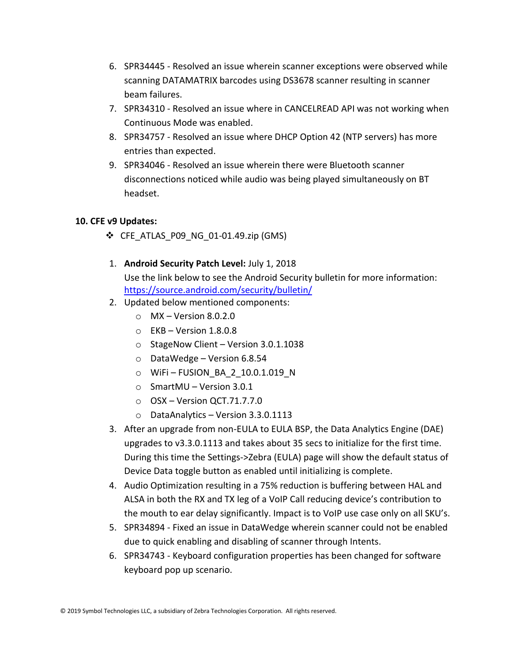- 6. SPR34445 Resolved an issue wherein scanner exceptions were observed while scanning DATAMATRIX barcodes using DS3678 scanner resulting in scanner beam failures.
- 7. SPR34310 Resolved an issue where in CANCELREAD API was not working when Continuous Mode was enabled.
- 8. SPR34757 Resolved an issue where DHCP Option 42 (NTP servers) has more entries than expected.
- 9. SPR34046 Resolved an issue wherein there were Bluetooth scanner disconnections noticed while audio was being played simultaneously on BT headset.

## **10. CFE v9 Updates:**

- $\div$  CFE ATLAS P09 NG 01-01.49.zip (GMS)
- 1. **Android Security Patch Level:** July 1, 2018 Use the link below to see the Android Security bulletin for more information: <https://source.android.com/security/bulletin/>
- 2. Updated below mentioned components:
	- $\circ$  MX Version 8.0.2.0
	- $\circ$  EKB Version 1.8.0.8
	- o StageNow Client Version 3.0.1.1038
	- o DataWedge Version 6.8.54
	- o WiFi FUSION\_BA\_2\_10.0.1.019\_N
	- o SmartMU Version 3.0.1
	- $\circ$  OSX Version QCT.71.7.7.0
	- o DataAnalytics Version 3.3.0.1113
- 3. After an upgrade from non-EULA to EULA BSP, the Data Analytics Engine (DAE) upgrades to v3.3.0.1113 and takes about 35 secs to initialize for the first time. During this time the Settings->Zebra (EULA) page will show the default status of Device Data toggle button as enabled until initializing is complete.
- 4. Audio Optimization resulting in a 75% reduction is buffering between HAL and ALSA in both the RX and TX leg of a VoIP Call reducing device's contribution to the mouth to ear delay significantly. Impact is to VoIP use case only on all SKU's.
- 5. SPR34894 Fixed an issue in DataWedge wherein scanner could not be enabled due to quick enabling and disabling of scanner through Intents.
- 6. SPR34743 Keyboard configuration properties has been changed for software keyboard pop up scenario.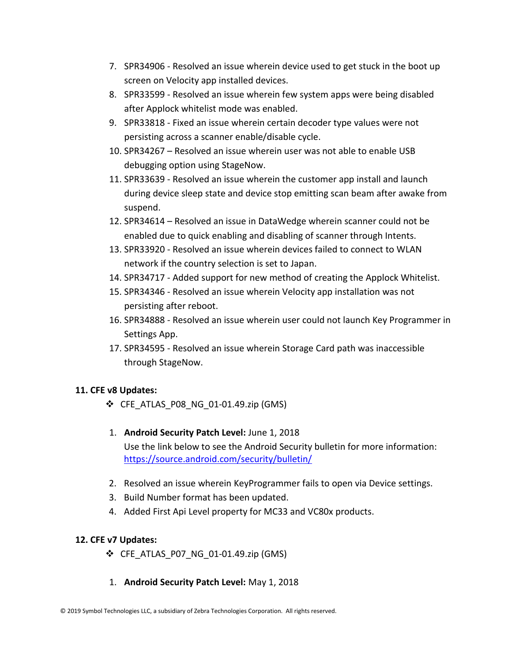- 7. SPR34906 Resolved an issue wherein device used to get stuck in the boot up screen on Velocity app installed devices.
- 8. SPR33599 Resolved an issue wherein few system apps were being disabled after Applock whitelist mode was enabled.
- 9. SPR33818 Fixed an issue wherein certain decoder type values were not persisting across a scanner enable/disable cycle.
- 10. SPR34267 Resolved an issue wherein user was not able to enable USB debugging option using StageNow.
- 11. SPR33639 Resolved an issue wherein the customer app install and launch during device sleep state and device stop emitting scan beam after awake from suspend.
- 12. SPR34614 Resolved an issue in DataWedge wherein scanner could not be enabled due to quick enabling and disabling of scanner through Intents.
- 13. SPR33920 Resolved an issue wherein devices failed to connect to WLAN network if the country selection is set to Japan.
- 14. SPR34717 Added support for new method of creating the Applock Whitelist.
- 15. SPR34346 Resolved an issue wherein Velocity app installation was not persisting after reboot.
- 16. SPR34888 Resolved an issue wherein user could not launch Key Programmer in Settings App.
- 17. SPR34595 Resolved an issue wherein Storage Card path was inaccessible through StageNow.

## **11. CFE v8 Updates:**

- ❖ CFE\_ATLAS\_P08\_NG\_01-01.49.zip (GMS)
- 1. **Android Security Patch Level:** June 1, 2018 Use the link below to see the Android Security bulletin for more information: <https://source.android.com/security/bulletin/>
- 2. Resolved an issue wherein KeyProgrammer fails to open via Device settings.
- 3. Build Number format has been updated.
- 4. Added First Api Level property for MC33 and VC80x products.

## **12. CFE v7 Updates:**

- ❖ CFE\_ATLAS\_P07\_NG\_01-01.49.zip (GMS)
- 1. **Android Security Patch Level:** May 1, 2018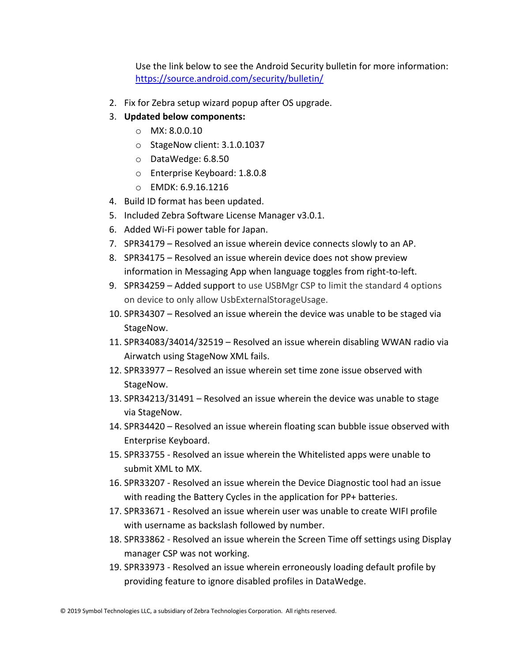- 2. Fix for Zebra setup wizard popup after OS upgrade.
- 3. **Updated below components:**
	- o MX: 8.0.0.10
	- o StageNow client: 3.1.0.1037
	- o DataWedge: 6.8.50
	- o Enterprise Keyboard: 1.8.0.8
	- o EMDK: 6.9.16.1216
- 4. Build ID format has been updated.
- 5. Included Zebra Software License Manager v3.0.1.
- 6. Added Wi-Fi power table for Japan.
- 7. SPR34179 Resolved an issue wherein device connects slowly to an AP.
- 8. SPR34175 Resolved an issue wherein device does not show preview information in Messaging App when language toggles from right-to-left.
- 9. SPR34259 Added support to use USBMgr CSP to limit the standard 4 options on device to only allow UsbExternalStorageUsage.
- 10. SPR34307 Resolved an issue wherein the device was unable to be staged via StageNow.
- 11. SPR34083/34014/32519 Resolved an issue wherein disabling WWAN radio via Airwatch using StageNow XML fails.
- 12. SPR33977 Resolved an issue wherein set time zone issue observed with StageNow.
- 13. SPR34213/31491 Resolved an issue wherein the device was unable to stage via StageNow.
- 14. SPR34420 Resolved an issue wherein floating scan bubble issue observed with Enterprise Keyboard.
- 15. SPR33755 Resolved an issue wherein the Whitelisted apps were unable to submit XML to MX.
- 16. SPR33207 Resolved an issue wherein the Device Diagnostic tool had an issue with reading the Battery Cycles in the application for PP+ batteries.
- 17. SPR33671 Resolved an issue wherein user was unable to create WIFI profile with username as backslash followed by number.
- 18. SPR33862 Resolved an issue wherein the Screen Time off settings using Display manager CSP was not working.
- 19. SPR33973 Resolved an issue wherein erroneously loading default profile by providing feature to ignore disabled profiles in DataWedge.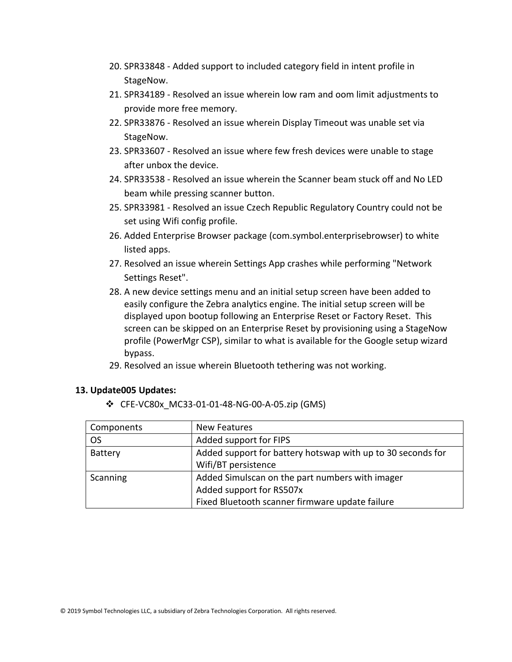- 20. SPR33848 Added support to included category field in intent profile in StageNow.
- 21. SPR34189 Resolved an issue wherein low ram and oom limit adjustments to provide more free memory.
- 22. SPR33876 Resolved an issue wherein Display Timeout was unable set via StageNow.
- 23. SPR33607 Resolved an issue where few fresh devices were unable to stage after unbox the device.
- 24. SPR33538 Resolved an issue wherein the Scanner beam stuck off and No LED beam while pressing scanner button.
- 25. SPR33981 Resolved an issue Czech Republic Regulatory Country could not be set using Wifi config profile.
- 26. Added Enterprise Browser package (com.symbol.enterprisebrowser) to white listed apps.
- 27. Resolved an issue wherein Settings App crashes while performing "Network Settings Reset".
- 28. A new device settings menu and an initial setup screen have been added to easily configure the Zebra analytics engine. The initial setup screen will be displayed upon bootup following an Enterprise Reset or Factory Reset. This screen can be skipped on an Enterprise Reset by provisioning using a StageNow profile (PowerMgr CSP), similar to what is available for the Google setup wizard bypass.
- 29. Resolved an issue wherein Bluetooth tethering was not working.

#### **13. Update005 Updates:**

❖ CFE-VC80x\_MC33-01-01-48-NG-00-A-05.zip (GMS)

| Components     | New Features                                                |  |
|----------------|-------------------------------------------------------------|--|
| <b>OS</b>      | Added support for FIPS                                      |  |
| <b>Battery</b> | Added support for battery hotswap with up to 30 seconds for |  |
|                | Wifi/BT persistence                                         |  |
| Scanning       | Added Simulscan on the part numbers with imager             |  |
|                | Added support for RS507x                                    |  |
|                | Fixed Bluetooth scanner firmware update failure             |  |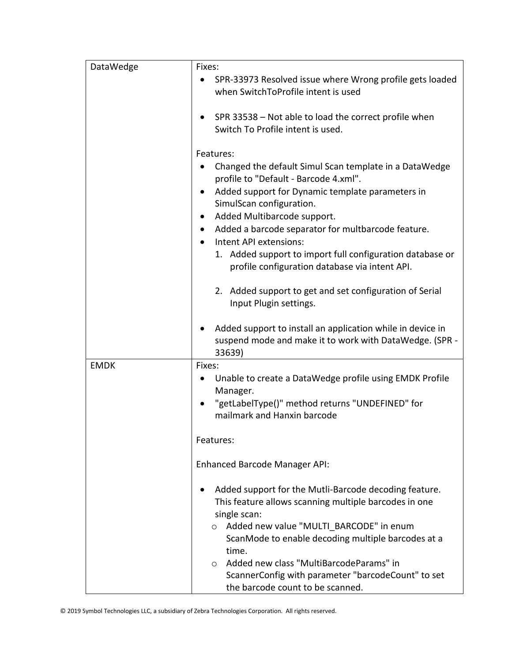| DataWedge   | Fixes:<br>SPR-33973 Resolved issue where Wrong profile gets loaded<br>when SwitchToProfile intent is used<br>SPR 33538 - Not able to load the correct profile when<br>Switch To Profile intent is used.<br>Features:<br>Changed the default Simul Scan template in a DataWedge<br>profile to "Default - Barcode 4.xml".<br>Added support for Dynamic template parameters in                |
|-------------|--------------------------------------------------------------------------------------------------------------------------------------------------------------------------------------------------------------------------------------------------------------------------------------------------------------------------------------------------------------------------------------------|
|             | SimulScan configuration.<br>Added Multibarcode support.<br>Added a barcode separator for multbarcode feature.<br>$\bullet$<br>Intent API extensions:<br>1. Added support to import full configuration database or<br>profile configuration database via intent API.                                                                                                                        |
|             | 2. Added support to get and set configuration of Serial<br>Input Plugin settings.                                                                                                                                                                                                                                                                                                          |
|             | Added support to install an application while in device in<br>suspend mode and make it to work with DataWedge. (SPR -<br>33639)                                                                                                                                                                                                                                                            |
| <b>EMDK</b> | Fixes:<br>Unable to create a DataWedge profile using EMDK Profile<br>Manager.<br>"getLabelType()" method returns "UNDEFINED" for<br>mailmark and Hanxin barcode                                                                                                                                                                                                                            |
|             | Features:<br>Enhanced Barcode Manager API:                                                                                                                                                                                                                                                                                                                                                 |
|             | Added support for the Mutli-Barcode decoding feature.<br>This feature allows scanning multiple barcodes in one<br>single scan:<br>o Added new value "MULTI BARCODE" in enum<br>ScanMode to enable decoding multiple barcodes at a<br>time.<br>Added new class "MultiBarcodeParams" in<br>$\circ$<br>ScannerConfig with parameter "barcodeCount" to set<br>the barcode count to be scanned. |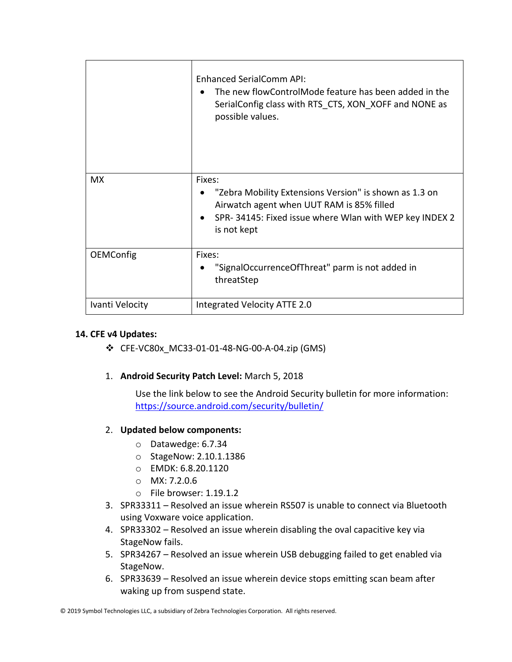|                  | <b>Enhanced SerialComm API:</b><br>The new flowControlMode feature has been added in the<br>SerialConfig class with RTS CTS, XON XOFF and NONE as<br>possible values. |
|------------------|-----------------------------------------------------------------------------------------------------------------------------------------------------------------------|
| <b>MX</b>        | Fixes:                                                                                                                                                                |
|                  | "Zebra Mobility Extensions Version" is shown as 1.3 on                                                                                                                |
|                  | Airwatch agent when UUT RAM is 85% filled<br>SPR-34145: Fixed issue where Wlan with WEP key INDEX 2                                                                   |
|                  | is not kept                                                                                                                                                           |
| <b>OEMConfig</b> | Fixes:                                                                                                                                                                |
|                  | "SignalOccurrenceOfThreat" parm is not added in                                                                                                                       |
|                  | threatStep                                                                                                                                                            |
| Ivanti Velocity  | Integrated Velocity ATTE 2.0                                                                                                                                          |

#### **14. CFE v4 Updates:**

❖ CFE-VC80x\_MC33-01-01-48-NG-00-A-04.zip (GMS)

## 1. **Android Security Patch Level:** March 5, 2018

Use the link below to see the Android Security bulletin for more information: <https://source.android.com/security/bulletin/>

#### 2. **Updated below components:**

- o Datawedge: 6.7.34
- o StageNow: 2.10.1.1386
- o EMDK: 6.8.20.1120
- o MX: 7.2.0.6
- o File browser: 1.19.1.2
- 3. SPR33311 Resolved an issue wherein RS507 is unable to connect via Bluetooth using Voxware voice application.
- 4. SPR33302 Resolved an issue wherein disabling the oval capacitive key via StageNow fails.
- 5. SPR34267 Resolved an issue wherein USB debugging failed to get enabled via StageNow.
- 6. SPR33639 Resolved an issue wherein device stops emitting scan beam after waking up from suspend state.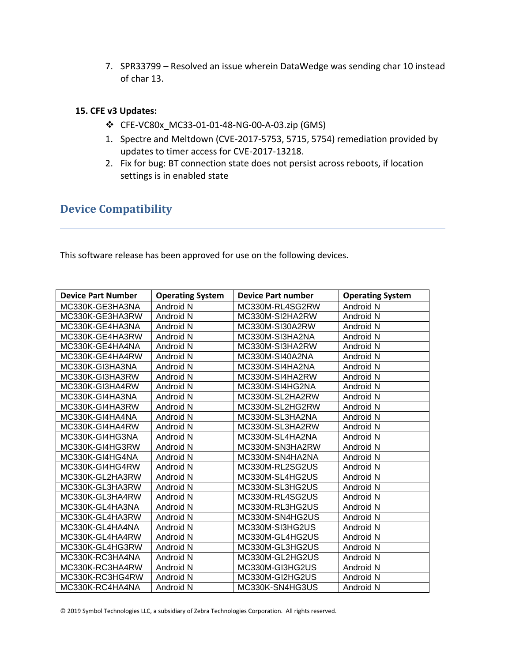7. SPR33799 – Resolved an issue wherein DataWedge was sending char 10 instead of char 13.

#### **15. CFE v3 Updates:**

- ❖ CFE-VC80x\_MC33-01-01-48-NG-00-A-03.zip (GMS)
- 1. Spectre and Meltdown (CVE-2017-5753, 5715, 5754) remediation provided by updates to timer access for CVE-2017-13218.
- 2. Fix for bug: BT connection state does not persist across reboots, if location settings is in enabled state

## <span id="page-17-0"></span>**Device Compatibility**

This software release has been approved for use on the following devices.

| <b>Device Part Number</b> | <b>Operating System</b> | <b>Device Part number</b> | <b>Operating System</b> |
|---------------------------|-------------------------|---------------------------|-------------------------|
| MC330K-GE3HA3NA           | Android N               | MC330M-RL4SG2RW           | Android N               |
| MC330K-GE3HA3RW           | Android N               | MC330M-SI2HA2RW           | Android N               |
| MC330K-GE4HA3NA           | Android N               | MC330M-SI30A2RW           | Android N               |
| MC330K-GE4HA3RW           | Android N               | MC330M-SI3HA2NA           | Android N               |
| MC330K-GE4HA4NA           | Android N               | MC330M-SI3HA2RW           | Android N               |
| MC330K-GE4HA4RW           | Android N               | MC330M-SI40A2NA           | Android N               |
| MC330K-GI3HA3NA           | Android N               | MC330M-SI4HA2NA           | Android N               |
| MC330K-GI3HA3RW           | Android N               | MC330M-SI4HA2RW           | Android N               |
| MC330K-GI3HA4RW           | Android N               | MC330M-SI4HG2NA           | Android N               |
| MC330K-GI4HA3NA           | Android N               | MC330M-SL2HA2RW           | Android N               |
| MC330K-GI4HA3RW           | Android N               | MC330M-SL2HG2RW           | Android N               |
| MC330K-GI4HA4NA           | Android N               | MC330M-SL3HA2NA           | Android N               |
| MC330K-GI4HA4RW           | Android N               | MC330M-SL3HA2RW           | Android N               |
| MC330K-GI4HG3NA           | Android N               | MC330M-SL4HA2NA           | Android N               |
| MC330K-GI4HG3RW           | Android N               | MC330M-SN3HA2RW           | Android N               |
| MC330K-GI4HG4NA           | Android N               | MC330M-SN4HA2NA           | Android N               |
| MC330K-GI4HG4RW           | Android N               | MC330M-RL2SG2US           | Android N               |
| MC330K-GL2HA3RW           | Android N               | MC330M-SL4HG2US           | Android N               |
| MC330K-GL3HA3RW           | Android N               | MC330M-SL3HG2US           | Android N               |
| MC330K-GL3HA4RW           | Android N               | MC330M-RL4SG2US           | Android N               |
| MC330K-GL4HA3NA           | Android N               | MC330M-RL3HG2US           | Android N               |
| MC330K-GL4HA3RW           | Android N               | MC330M-SN4HG2US           | Android N               |
| MC330K-GL4HA4NA           | Android N               | MC330M-SI3HG2US           | Android N               |
| MC330K-GL4HA4RW           | Android N               | MC330M-GL4HG2US           | Android N               |
| MC330K-GL4HG3RW           | Android N               | MC330M-GL3HG2US           | Android N               |
| MC330K-RC3HA4NA           | Android N               | MC330M-GL2HG2US           | Android N               |
| MC330K-RC3HA4RW           | Android N               | MC330M-GI3HG2US           | Android N               |
| MC330K-RC3HG4RW           | Android N               | MC330M-GI2HG2US           | Android N               |
| MC330K-RC4HA4NA           | Android N               | MC330K-SN4HG3US           | Android N               |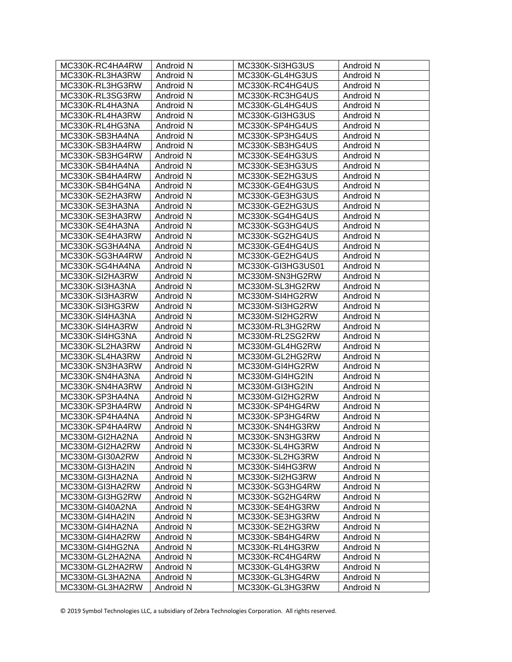| MC330K-RC4HA4RW | Android N | MC330K-SI3HG3US   | Android N |
|-----------------|-----------|-------------------|-----------|
| MC330K-RL3HA3RW | Android N | MC330K-GL4HG3US   | Android N |
| MC330K-RL3HG3RW | Android N | MC330K-RC4HG4US   | Android N |
| MC330K-RL3SG3RW | Android N | MC330K-RC3HG4US   | Android N |
| MC330K-RL4HA3NA | Android N | MC330K-GL4HG4US   | Android N |
| MC330K-RL4HA3RW | Android N | MC330K-GI3HG3US   | Android N |
| MC330K-RL4HG3NA | Android N | MC330K-SP4HG4US   | Android N |
| MC330K-SB3HA4NA | Android N | MC330K-SP3HG4US   | Android N |
| MC330K-SB3HA4RW | Android N | MC330K-SB3HG4US   | Android N |
| MC330K-SB3HG4RW | Android N | MC330K-SE4HG3US   | Android N |
| MC330K-SB4HA4NA | Android N | MC330K-SE3HG3US   | Android N |
| MC330K-SB4HA4RW | Android N | MC330K-SE2HG3US   | Android N |
| MC330K-SB4HG4NA | Android N | MC330K-GE4HG3US   | Android N |
| MC330K-SE2HA3RW | Android N | MC330K-GE3HG3US   | Android N |
| MC330K-SE3HA3NA | Android N | MC330K-GE2HG3US   | Android N |
| MC330K-SE3HA3RW | Android N | MC330K-SG4HG4US   | Android N |
| MC330K-SE4HA3NA | Android N | MC330K-SG3HG4US   | Android N |
| MC330K-SE4HA3RW | Android N | MC330K-SG2HG4US   | Android N |
| MC330K-SG3HA4NA | Android N | MC330K-GE4HG4US   | Android N |
| MC330K-SG3HA4RW | Android N | MC330K-GE2HG4US   | Android N |
| MC330K-SG4HA4NA | Android N | MC330K-GI3HG3US01 | Android N |
| MC330K-SI2HA3RW | Android N | MC330M-SN3HG2RW   | Android N |
| MC330K-SI3HA3NA | Android N | MC330M-SL3HG2RW   | Android N |
| MC330K-SI3HA3RW | Android N | MC330M-SI4HG2RW   | Android N |
| MC330K-SI3HG3RW | Android N | MC330M-SI3HG2RW   | Android N |
| MC330K-SI4HA3NA | Android N | MC330M-SI2HG2RW   | Android N |
| MC330K-SI4HA3RW | Android N | MC330M-RL3HG2RW   | Android N |
| MC330K-SI4HG3NA | Android N | MC330M-RL2SG2RW   | Android N |
| MC330K-SL2HA3RW | Android N | MC330M-GL4HG2RW   | Android N |
| MC330K-SL4HA3RW | Android N | MC330M-GL2HG2RW   | Android N |
| MC330K-SN3HA3RW | Android N | MC330M-GI4HG2RW   | Android N |
| MC330K-SN4HA3NA | Android N | MC330M-GI4HG2IN   | Android N |
| MC330K-SN4HA3RW | Android N | MC330M-GI3HG2IN   | Android N |
| MC330K-SP3HA4NA | Android N | MC330M-GI2HG2RW   | Android N |
| MC330K-SP3HA4RW | Android N | MC330K-SP4HG4RW   | Android N |
| MC330K-SP4HA4NA | Android N | MC330K-SP3HG4RW   | Android N |
| MC330K-SP4HA4RW | Android N | MC330K-SN4HG3RW   | Android N |
| MC330M-GI2HA2NA | Android N | MC330K-SN3HG3RW   | Android N |
| MC330M-GI2HA2RW | Android N | MC330K-SL4HG3RW   | Android N |
| MC330M-GI30A2RW | Android N | MC330K-SL2HG3RW   | Android N |
| MC330M-GI3HA2IN |           | MC330K-SI4HG3RW   |           |
|                 | Android N | MC330K-SI2HG3RW   | Android N |
| MC330M-GI3HA2NA | Android N |                   | Android N |
| MC330M-GI3HA2RW | Android N | MC330K-SG3HG4RW   | Android N |
| MC330M-GI3HG2RW | Android N | MC330K-SG2HG4RW   | Android N |
| MC330M-GI40A2NA | Android N | MC330K-SE4HG3RW   | Android N |
| MC330M-GI4HA2IN | Android N | MC330K-SE3HG3RW   | Android N |
| MC330M-GI4HA2NA | Android N | MC330K-SE2HG3RW   | Android N |
| MC330M-GI4HA2RW | Android N | MC330K-SB4HG4RW   | Android N |
| MC330M-GI4HG2NA | Android N | MC330K-RL4HG3RW   | Android N |
| MC330M-GL2HA2NA | Android N | MC330K-RC4HG4RW   | Android N |
| MC330M-GL2HA2RW | Android N | MC330K-GL4HG3RW   | Android N |
| MC330M-GL3HA2NA | Android N | MC330K-GL3HG4RW   | Android N |
| MC330M-GL3HA2RW | Android N | MC330K-GL3HG3RW   | Android N |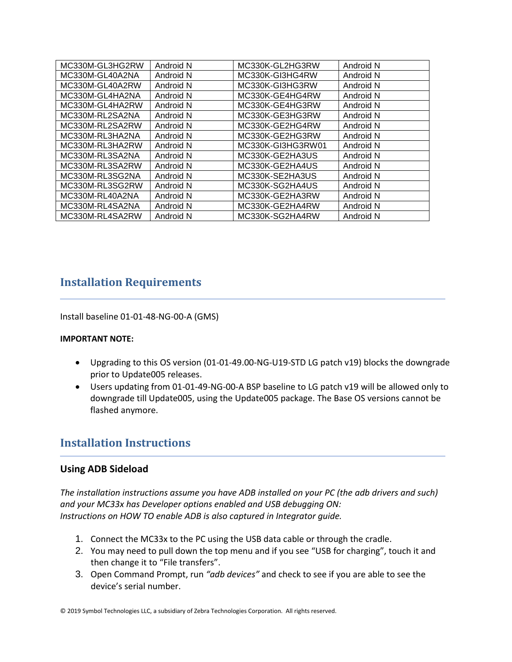| MC330M-GL3HG2RW | Android N | MC330K-GL2HG3RW   | Android N |
|-----------------|-----------|-------------------|-----------|
| MC330M-GL40A2NA | Android N | MC330K-GI3HG4RW   | Android N |
| MC330M-GL40A2RW | Android N | MC330K-GI3HG3RW   | Android N |
| MC330M-GL4HA2NA | Android N | MC330K-GE4HG4RW   | Android N |
| MC330M-GL4HA2RW | Android N | MC330K-GE4HG3RW   | Android N |
| MC330M-RL2SA2NA | Android N | MC330K-GE3HG3RW   | Android N |
| MC330M-RL2SA2RW | Android N | MC330K-GE2HG4RW   | Android N |
| MC330M-RL3HA2NA | Android N | MC330K-GE2HG3RW   | Android N |
| MC330M-RL3HA2RW | Android N | MC330K-GI3HG3RW01 | Android N |
| MC330M-RL3SA2NA | Android N | MC330K-GE2HA3US   | Android N |
| MC330M-RL3SA2RW | Android N | MC330K-GE2HA4US   | Android N |
| MC330M-RL3SG2NA | Android N | MC330K-SE2HA3US   | Android N |
| MC330M-RL3SG2RW | Android N | MC330K-SG2HA4US   | Android N |
| MC330M-RL40A2NA | Android N | MC330K-GE2HA3RW   | Android N |
| MC330M-RL4SA2NA | Android N | MC330K-GE2HA4RW   | Android N |
| MC330M-RL4SA2RW | Android N | MC330K-SG2HA4RW   | Android N |

## <span id="page-19-0"></span>**Installation Requirements**

Install baseline 01-01-48-NG-00-A (GMS)

#### **IMPORTANT NOTE:**

- Upgrading to this OS version (01-01-49.00-NG-U19-STD LG patch v19) blocks the downgrade prior to Update005 releases.
- Users updating from 01-01-49-NG-00-A BSP baseline to LG patch v19 will be allowed only to downgrade till Update005, using the Update005 package. The Base OS versions cannot be flashed anymore.

## <span id="page-19-1"></span>**Installation Instructions**

#### **Using ADB Sideload**

*The installation instructions assume you have ADB installed on your PC (the adb drivers and such) and your MC33x has Developer options enabled and USB debugging ON: Instructions on HOW TO enable ADB is also captured in Integrator guide.*

- 1. Connect the MC33x to the PC using the USB data cable or through the cradle.
- 2. You may need to pull down the top menu and if you see "USB for charging", touch it and then change it to "File transfers".
- 3. Open Command Prompt, run *"adb devices"* and check to see if you are able to see the device's serial number.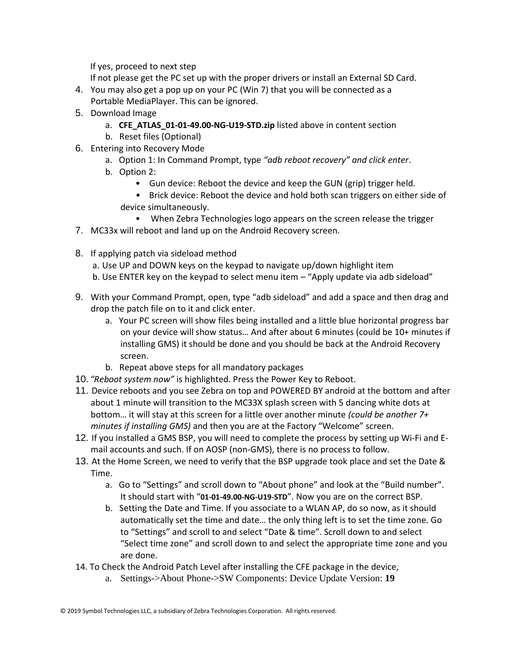If yes, proceed to next step

If not please get the PC set up with the proper drivers or install an External SD Card.

- 4. You may also get a pop up on your PC (Win 7) that you will be connected as a Portable MediaPlayer. This can be ignored.
- 5. Download Image
	- a. **CFE\_ATLAS\_01-01-49.00-NG-U19-STD.zip** listed above in content section
	- b. Reset files (Optional)
- 6. Entering into Recovery Mode
	- a. Option 1: In Command Prompt, type *"adb reboot recovery" and click enter*.
	- b. Option 2:
		- Gun device: Reboot the device and keep the GUN (grip) trigger held.
		- Brick device: Reboot the device and hold both scan triggers on either side of device simultaneously.
	- When Zebra Technologies logo appears on the screen release the trigger
- 7. MC33x will reboot and land up on the Android Recovery screen.
- 8. If applying patch via sideload method
	- a. Use UP and DOWN keys on the keypad to navigate up/down highlight item
	- b. Use ENTER key on the keypad to select menu item "Apply update via adb sideload"
- 9. With your Command Prompt, open, type "adb sideload" and add a space and then drag and drop the patch file on to it and click enter.
	- a. Your PC screen will show files being installed and a little blue horizontal progress bar on your device will show status… And after about 6 minutes (could be 10+ minutes if installing GMS) it should be done and you should be back at the Android Recovery screen.
	- b. Repeat above steps for all mandatory packages
- 10. *"Reboot system now"* is highlighted. Press the Power Key to Reboot.
- 11. Device reboots and you see Zebra on top and POWERED BY android at the bottom and after about 1 minute will transition to the MC33X splash screen with 5 dancing white dots at bottom… it will stay at this screen for a little over another minute *(could be another 7+ minutes if installing GMS)* and then you are at the Factory "Welcome" screen.
- 12. If you installed a GMS BSP, you will need to complete the process by setting up Wi‐Fi and E‐ mail accounts and such. If on AOSP (non‐GMS), there is no process to follow.
- 13. At the Home Screen, we need to verify that the BSP upgrade took place and set the Date & Time.
	- a. Go to "Settings" and scroll down to "About phone" and look at the "Build number". It should start with "**01-01-49.00-NG-U19-STD**". Now you are on the correct BSP.
	- b. Setting the Date and Time. If you associate to a WLAN AP, do so now, as it should automatically set the time and date… the only thing left is to set the time zone. Go to "Settings" and scroll to and select "Date & time". Scroll down to and select "Select time zone" and scroll down to and select the appropriate time zone and you are done.
- 14. To Check the Android Patch Level after installing the CFE package in the device,
	- a. Settings->About Phone->SW Components: Device Update Version: **19**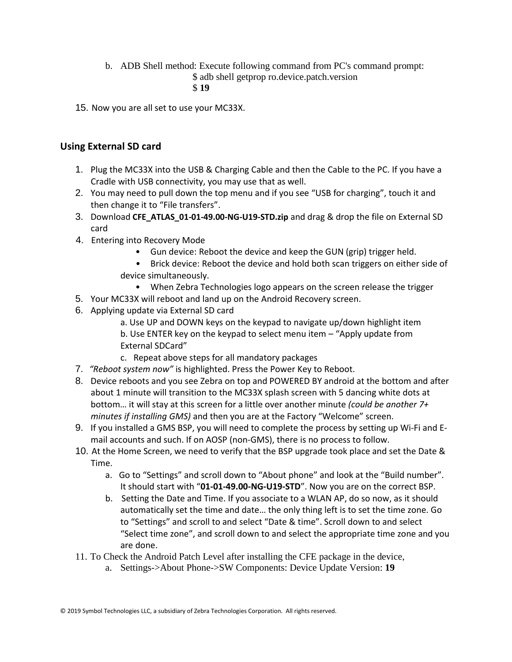b. ADB Shell method: Execute following command from PC's command prompt:

\$ adb shell getprop ro.device.patch.version

\$ **19**

15. Now you are all set to use your MC33X.

## **Using External SD card**

- 1. Plug the MC33X into the USB & Charging Cable and then the Cable to the PC. If you have a Cradle with USB connectivity, you may use that as well.
- 2. You may need to pull down the top menu and if you see "USB for charging", touch it and then change it to "File transfers".
- 3. Download **CFE\_ATLAS\_01-01-49.00-NG-U19-STD.zip** and drag & drop the file on External SD card
- 4. Entering into Recovery Mode
	- Gun device: Reboot the device and keep the GUN (grip) trigger held.
	- Brick device: Reboot the device and hold both scan triggers on either side of device simultaneously.
		- When Zebra Technologies logo appears on the screen release the trigger
- 5. Your MC33X will reboot and land up on the Android Recovery screen.
- 6. Applying update via External SD card
	- a. Use UP and DOWN keys on the keypad to navigate up/down highlight item
	- b. Use ENTER key on the keypad to select menu item "Apply update from External SDCard"
	- c. Repeat above steps for all mandatory packages
- 7. *"Reboot system now"* is highlighted. Press the Power Key to Reboot.
- 8. Device reboots and you see Zebra on top and POWERED BY android at the bottom and after about 1 minute will transition to the MC33X splash screen with 5 dancing white dots at bottom… it will stay at this screen for a little over another minute *(could be another 7+ minutes if installing GMS)* and then you are at the Factory "Welcome" screen.
- 9. If you installed a GMS BSP, you will need to complete the process by setting up Wi‐Fi and E‐ mail accounts and such. If on AOSP (non‐GMS), there is no process to follow.
- 10. At the Home Screen, we need to verify that the BSP upgrade took place and set the Date & Time.
	- a. Go to "Settings" and scroll down to "About phone" and look at the "Build number". It should start with "**01-01-49.00-NG-U19-STD**". Now you are on the correct BSP.
	- b. Setting the Date and Time. If you associate to a WLAN AP, do so now, as it should automatically set the time and date… the only thing left is to set the time zone. Go to "Settings" and scroll to and select "Date & time". Scroll down to and select "Select time zone", and scroll down to and select the appropriate time zone and you are done.
- 11. To Check the Android Patch Level after installing the CFE package in the device,
	- a. Settings->About Phone->SW Components: Device Update Version: **19**